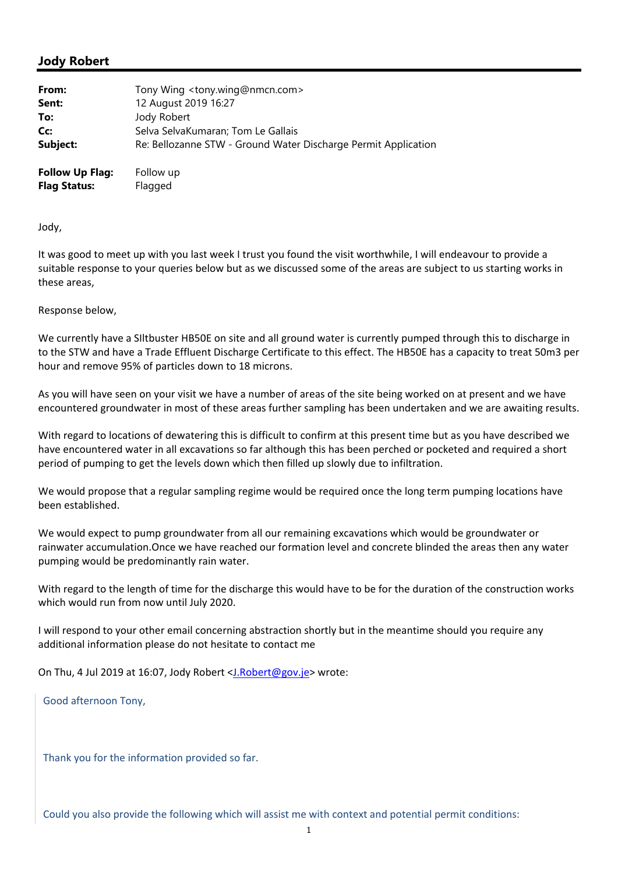## **Jody Robert**

| From:                  | Tony Wing <tony.wing@nmcn.com></tony.wing@nmcn.com>            |
|------------------------|----------------------------------------------------------------|
| Sent:                  | 12 August 2019 16:27                                           |
| To:                    | Jody Robert                                                    |
| Cc:                    | Selva SelvaKumaran; Tom Le Gallais                             |
| Subject:               | Re: Bellozanne STW - Ground Water Discharge Permit Application |
| <b>Follow Up Flag:</b> | Follow up                                                      |
| <b>Flag Status:</b>    | Flagged                                                        |

Jody,

It was good to meet up with you last week I trust you found the visit worthwhile, I will endeavour to provide a suitable response to your queries below but as we discussed some of the areas are subject to us starting works in these areas,

## Response below,

We currently have a SIltbuster HB50E on site and all ground water is currently pumped through this to discharge in to the STW and have a Trade Effluent Discharge Certificate to this effect. The HB50E has a capacity to treat 50m3 per hour and remove 95% of particles down to 18 microns.

As you will have seen on your visit we have a number of areas of the site being worked on at present and we have encountered groundwater in most of these areas further sampling has been undertaken and we are awaiting results.

With regard to locations of dewatering this is difficult to confirm at this present time but as you have described we have encountered water in all excavations so far although this has been perched or pocketed and required a short period of pumping to get the levels down which then filled up slowly due to infiltration.

We would propose that a regular sampling regime would be required once the long term pumping locations have been established.

We would expect to pump groundwater from all our remaining excavations which would be groundwater or rainwater accumulation.Once we have reached our formation level and concrete blinded the areas then any water pumping would be predominantly rain water.

With regard to the length of time for the discharge this would have to be for the duration of the construction works which would run from now until July 2020.

I will respond to your other email concerning abstraction shortly but in the meantime should you require any additional information please do not hesitate to contact me

On Thu, 4 Jul 2019 at 16:07, Jody Robert <J.Robert@gov.je> wrote:

Good afternoon Tony,

Thank you for the information provided so far.

Could you also provide the following which will assist me with context and potential permit conditions: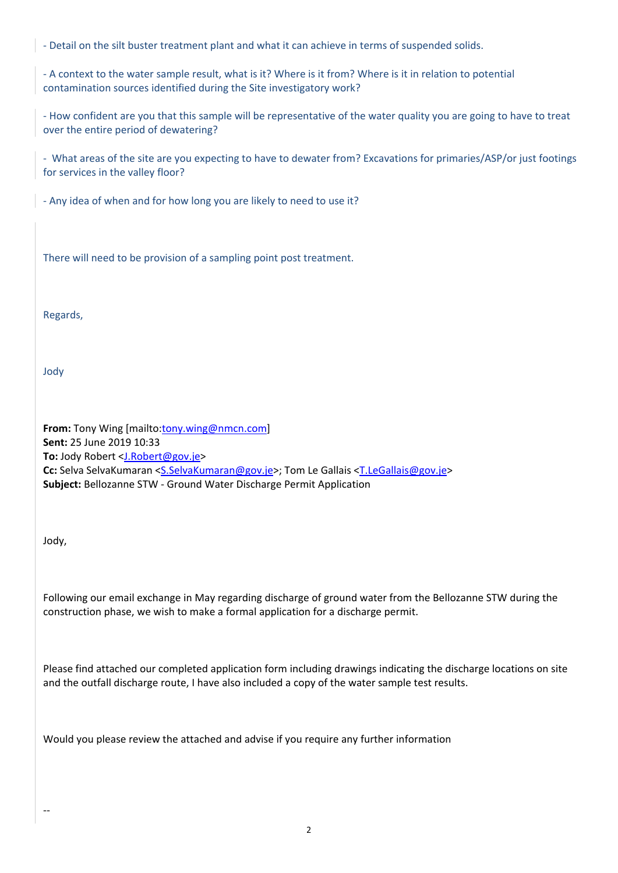‐ Detail on the silt buster treatment plant and what it can achieve in terms of suspended solids.

‐ A context to the water sample result, what is it? Where is it from? Where is it in relation to potential contamination sources identified during the Site investigatory work?

‐ How confident are you that this sample will be representative of the water quality you are going to have to treat over the entire period of dewatering?

‐ What areas of the site are you expecting to have to dewater from? Excavations for primaries/ASP/or just footings for services in the valley floor?

‐ Any idea of when and for how long you are likely to need to use it?

There will need to be provision of a sampling point post treatment.

Regards,

Jody

**From:** Tony Wing [mailto:tony.wing@nmcn.com] **Sent:** 25 June 2019 10:33 **To:** Jody Robert <J.Robert@gov.je> Cc: Selva SelvaKumaran <S.SelvaKumaran@gov.je>; Tom Le Gallais <T.LeGallais@gov.je> **Subject:** Bellozanne STW ‐ Ground Water Discharge Permit Application

Jody,

‐‐

Following our email exchange in May regarding discharge of ground water from the Bellozanne STW during the construction phase, we wish to make a formal application for a discharge permit.

Please find attached our completed application form including drawings indicating the discharge locations on site and the outfall discharge route, I have also included a copy of the water sample test results.

Would you please review the attached and advise if you require any further information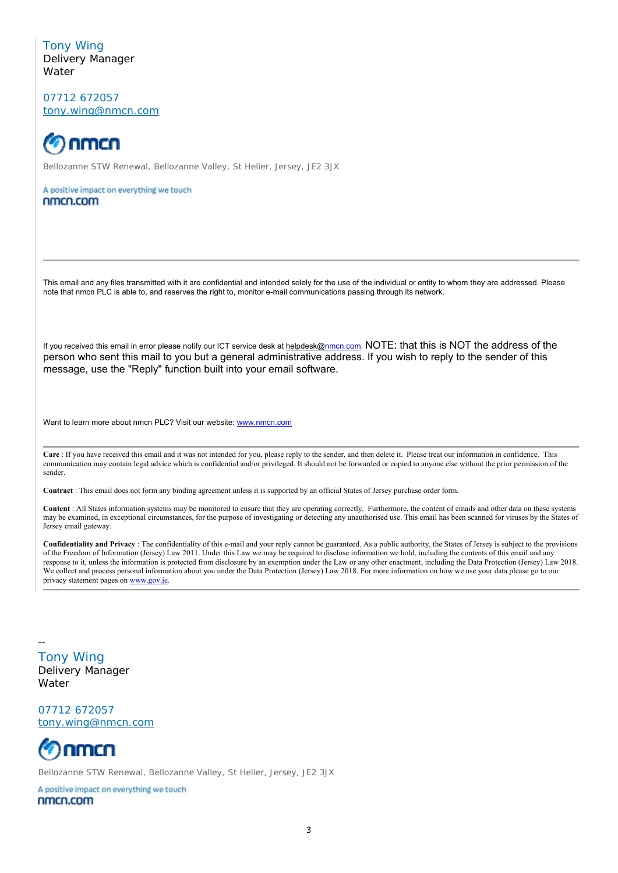Tony Wing Delivery Manager **Water** 

07712 672057 tony.wing@nmcn.com



Bellozanne STW Renewal, Bellozanne Valley, St Helier, Jersey, JE2 3JX

A positive impact on everything we touch nmcn.com

This email and any files transmitted with it are confidential and intended solely for the use of the individual or entity to whom they are addressed. Please note that nmcn PLC is able to, and reserves the right to, monitor e-mail communications passing through its network.

If you received this email in error please notify our ICT service desk at helpdesk@nmcn.com. NOTE: that this is NOT the address of the person who sent this mail to you but a general administrative address. If you wish to reply to the sender of this message, use the "Reply" function built into your email software.

Want to learn more about nmcn PLC? Visit our website: www.nmcn.com

**Care** : If you have received this email and it was not intended for you, please reply to the sender, and then delete it. Please treat our information in confidence. This communication may contain legal advice which is confidential and/or privileged. It should not be forwarded or copied to anyone else without the prior permission of the sender.

**Contract** : This email does not form any binding agreement unless it is supported by an official States of Jersey purchase order form.

**Content** : All States information systems may be monitored to ensure that they are operating correctly. Furthermore, the content of emails and other data on these systems may be examined, in exceptional circumstances, for the purpose of investigating or detecting any unauthorised use. This email has been scanned for viruses by the States of Jersey email gateway.

**Confidentiality and Privacy** : The confidentiality of this e-mail and your reply cannot be guaranteed. As a public authority, the States of Jersey is subject to the provisions of the Freedom of Information (Jersey) Law 2011. Under this Law we may be required to disclose information we hold, including the contents of this email and any response to it, unless the information is protected from disclosure by an exemption under the Law or any other enactment, including the Data Protection (Jersey) Law 2018. We collect and process personal information about you under the Data Protection (Jersey) Law 2018. For more information on how we use your data please go to our privacy statement pages on www.gov.je

‐‐ Tony Wing Delivery Manager **Water** 

07712 672057 tony.wing@nmcn.com



Bellozanne STW Renewal, Bellozanne Valley, St Helier, Jersey, JE2 3JX

A positive impact on everything we touch nmcn.com